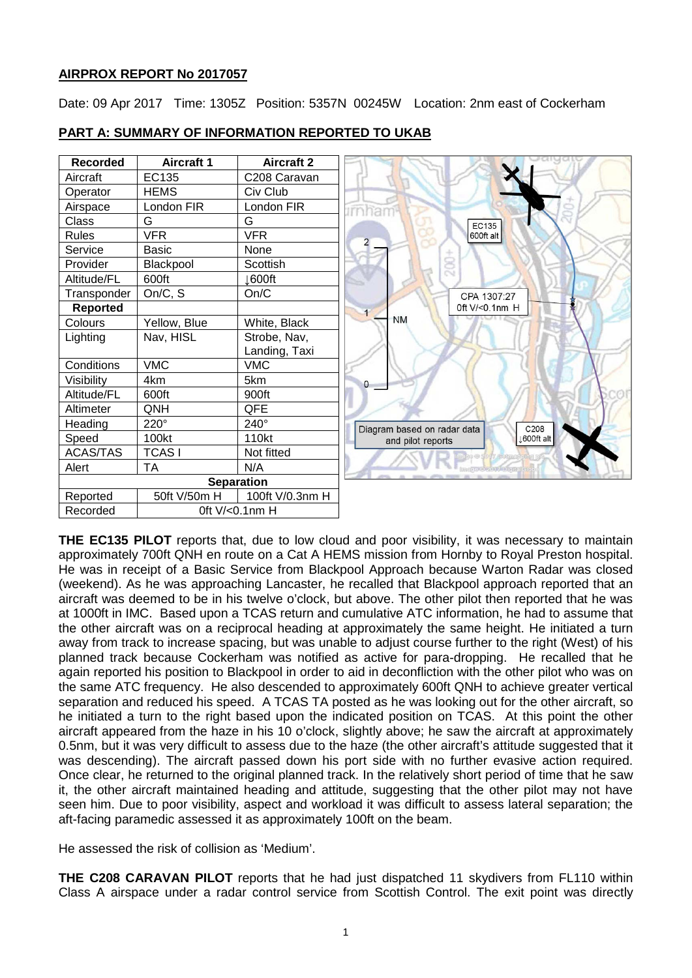# **AIRPROX REPORT No 2017057**

Date: 09 Apr 2017 Time: 1305Z Position: 5357N 00245W Location: 2nm east of Cockerham

| <b>Recorded</b> | <b>Aircraft 1</b> | <b>Aircraft 2</b> |
|-----------------|-------------------|-------------------|
| Aircraft        | EC135             | C208 Caravan      |
| Operator        | <b>HEMS</b>       | Civ Club          |
| Airspace        | London FIR        | London FIR        |
| Class           | G                 | G                 |
| <b>Rules</b>    | <b>VFR</b>        | <b>VFR</b>        |
| Service         | <b>Basic</b>      | None              |
| Provider        | Blackpool         | Scottish          |
| Altitude/FL     | 600ft             | <b>⊥600ft</b>     |
| Transponder     | On/C, S           | On/C              |
| <b>Reported</b> |                   |                   |
| Colours         | Yellow, Blue      | White, Black      |
| Lighting        | Nav, HISL         | Strobe, Nav,      |
|                 |                   | Landing, Taxi     |
| Conditions      | <b>VMC</b>        | <b>VMC</b>        |
| Visibility      | 4km               | 5km               |
| Altitude/FL     | 600ft             | 900ft             |
| Altimeter       | QNH               | QFE               |
| Heading         | $220^\circ$       | 240°              |
| Speed           | 100kt             | 110kt             |
| <b>ACAS/TAS</b> | <b>TCASI</b>      | Not fitted        |
| Alert           | TA                | N/A               |
|                 |                   | <b>Separation</b> |
| Reported        | 50ft V/50m H      | 100ft V/0.3nm H   |
| Recorded        |                   | 0ft V/<0.1nm H    |

# **PART A: SUMMARY OF INFORMATION REPORTED TO UKAB**

**THE EC135 PILOT** reports that, due to low cloud and poor visibility, it was necessary to maintain approximately 700ft QNH en route on a Cat A HEMS mission from Hornby to Royal Preston hospital. He was in receipt of a Basic Service from Blackpool Approach because Warton Radar was closed (weekend). As he was approaching Lancaster, he recalled that Blackpool approach reported that an aircraft was deemed to be in his twelve o'clock, but above. The other pilot then reported that he was at 1000ft in IMC. Based upon a TCAS return and cumulative ATC information, he had to assume that the other aircraft was on a reciprocal heading at approximately the same height. He initiated a turn away from track to increase spacing, but was unable to adjust course further to the right (West) of his planned track because Cockerham was notified as active for para-dropping. He recalled that he again reported his position to Blackpool in order to aid in deconfliction with the other pilot who was on the same ATC frequency. He also descended to approximately 600ft QNH to achieve greater vertical separation and reduced his speed. A TCAS TA posted as he was looking out for the other aircraft, so he initiated a turn to the right based upon the indicated position on TCAS. At this point the other aircraft appeared from the haze in his 10 o'clock, slightly above; he saw the aircraft at approximately 0.5nm, but it was very difficult to assess due to the haze (the other aircraft's attitude suggested that it was descending). The aircraft passed down his port side with no further evasive action required. Once clear, he returned to the original planned track. In the relatively short period of time that he saw it, the other aircraft maintained heading and attitude, suggesting that the other pilot may not have seen him. Due to poor visibility, aspect and workload it was difficult to assess lateral separation; the aft-facing paramedic assessed it as approximately 100ft on the beam.

He assessed the risk of collision as 'Medium'.

**THE C208 CARAVAN PILOT** reports that he had just dispatched 11 skydivers from FL110 within Class A airspace under a radar control service from Scottish Control. The exit point was directly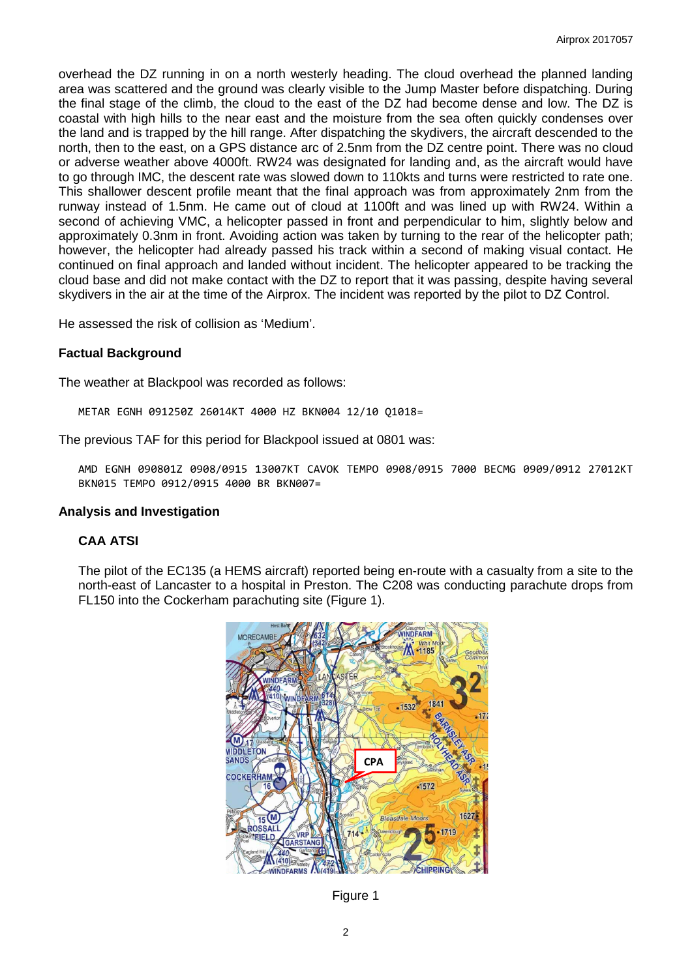overhead the DZ running in on a north westerly heading. The cloud overhead the planned landing area was scattered and the ground was clearly visible to the Jump Master before dispatching. During the final stage of the climb, the cloud to the east of the DZ had become dense and low. The DZ is coastal with high hills to the near east and the moisture from the sea often quickly condenses over the land and is trapped by the hill range. After dispatching the skydivers, the aircraft descended to the north, then to the east, on a GPS distance arc of 2.5nm from the DZ centre point. There was no cloud or adverse weather above 4000ft. RW24 was designated for landing and, as the aircraft would have to go through IMC, the descent rate was slowed down to 110kts and turns were restricted to rate one. This shallower descent profile meant that the final approach was from approximately 2nm from the runway instead of 1.5nm. He came out of cloud at 1100ft and was lined up with RW24. Within a second of achieving VMC, a helicopter passed in front and perpendicular to him, slightly below and approximately 0.3nm in front. Avoiding action was taken by turning to the rear of the helicopter path; however, the helicopter had already passed his track within a second of making visual contact. He continued on final approach and landed without incident. The helicopter appeared to be tracking the cloud base and did not make contact with the DZ to report that it was passing, despite having several skydivers in the air at the time of the Airprox. The incident was reported by the pilot to DZ Control.

He assessed the risk of collision as 'Medium'.

#### **Factual Background**

The weather at Blackpool was recorded as follows:

METAR EGNH 091250Z 26014KT 4000 HZ BKN004 12/10 Q1018=

The previous TAF for this period for Blackpool issued at 0801 was:

AMD EGNH 090801Z 0908/0915 13007KT CAVOK TEMPO 0908/0915 7000 BECMG 0909/0912 27012KT BKN015 TEMPO 0912/0915 4000 BR BKN007=

#### **Analysis and Investigation**

# **CAA ATSI**

The pilot of the EC135 (a HEMS aircraft) reported being en-route with a casualty from a site to the north-east of Lancaster to a hospital in Preston. The C208 was conducting parachute drops from FL150 into the Cockerham parachuting site (Figure 1).



Figure 1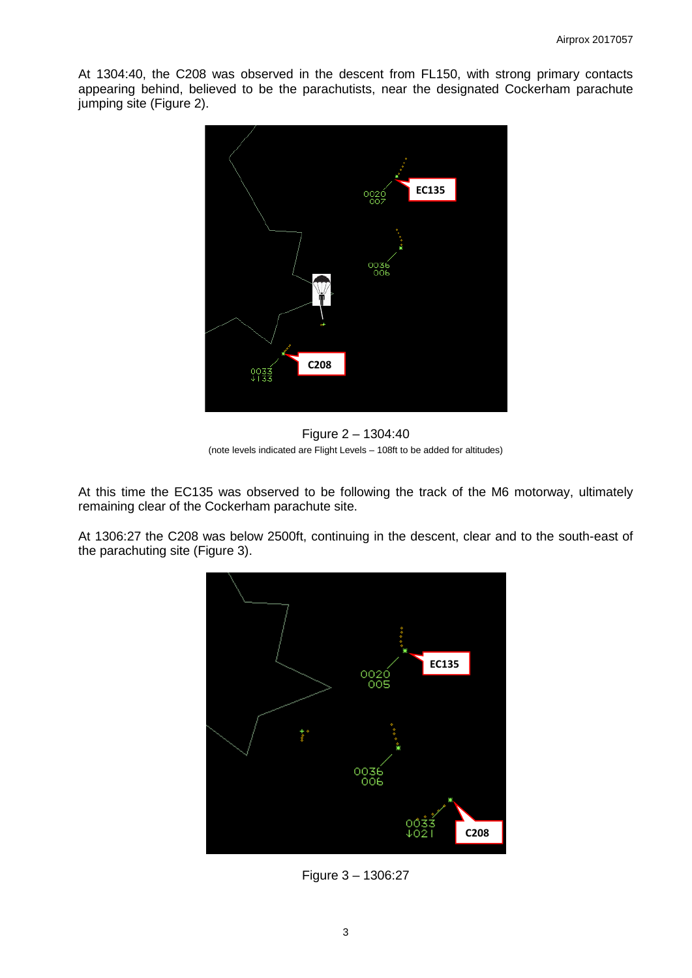At 1304:40, the C208 was observed in the descent from FL150, with strong primary contacts appearing behind, believed to be the parachutists, near the designated Cockerham parachute jumping site (Figure 2).



Figure 2 – 1304:40 (note levels indicated are Flight Levels – 108ft to be added for altitudes)

At this time the EC135 was observed to be following the track of the M6 motorway, ultimately remaining clear of the Cockerham parachute site.

At 1306:27 the C208 was below 2500ft, continuing in the descent, clear and to the south-east of the parachuting site (Figure 3).



Figure 3 – 1306:27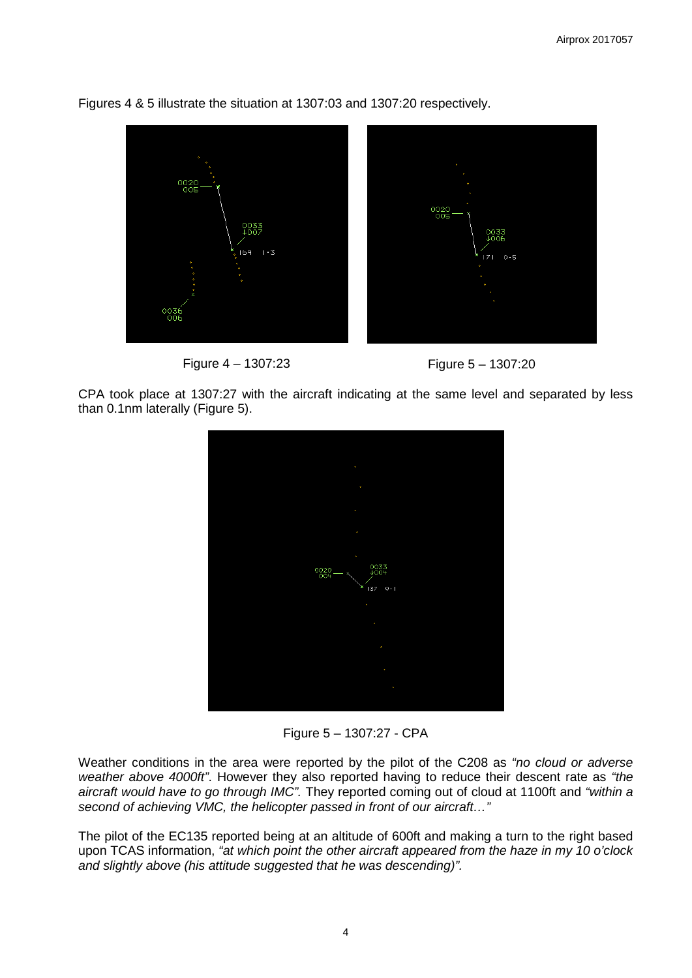

Figures 4 & 5 illustrate the situation at 1307:03 and 1307:20 respectively.





CPA took place at 1307:27 with the aircraft indicating at the same level and separated by less than 0.1nm laterally (Figure 5).



Figure 5 – 1307:27 - CPA

Weather conditions in the area were reported by the pilot of the C208 as *"no cloud or adverse weather above 4000ft"*. However they also reported having to reduce their descent rate as *"the aircraft would have to go through IMC".* They reported coming out of cloud at 1100ft and *"within a second of achieving VMC, the helicopter passed in front of our aircraft…"*

The pilot of the EC135 reported being at an altitude of 600ft and making a turn to the right based upon TCAS information, *"at which point the other aircraft appeared from the haze in my 10 o'clock and slightly above (his attitude suggested that he was descending)".*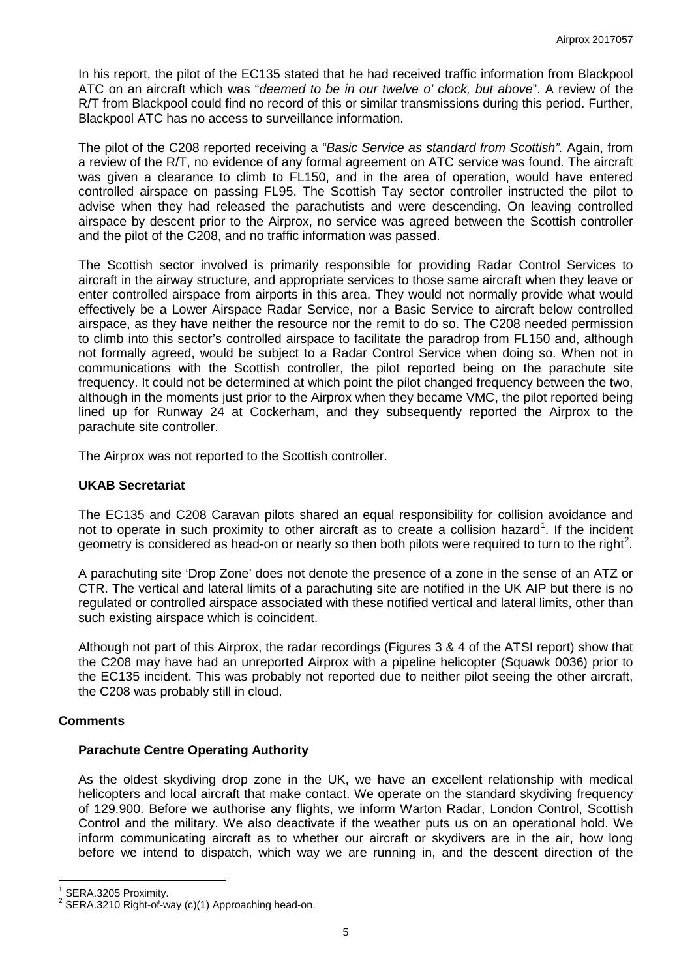In his report, the pilot of the EC135 stated that he had received traffic information from Blackpool ATC on an aircraft which was "*deemed to be in our twelve o' clock, but above*". A review of the R/T from Blackpool could find no record of this or similar transmissions during this period. Further, Blackpool ATC has no access to surveillance information.

The pilot of the C208 reported receiving a *"Basic Service as standard from Scottish".* Again, from a review of the R/T, no evidence of any formal agreement on ATC service was found. The aircraft was given a clearance to climb to FL150, and in the area of operation, would have entered controlled airspace on passing FL95. The Scottish Tay sector controller instructed the pilot to advise when they had released the parachutists and were descending. On leaving controlled airspace by descent prior to the Airprox, no service was agreed between the Scottish controller and the pilot of the C208, and no traffic information was passed.

The Scottish sector involved is primarily responsible for providing Radar Control Services to aircraft in the airway structure, and appropriate services to those same aircraft when they leave or enter controlled airspace from airports in this area. They would not normally provide what would effectively be a Lower Airspace Radar Service, nor a Basic Service to aircraft below controlled airspace, as they have neither the resource nor the remit to do so. The C208 needed permission to climb into this sector's controlled airspace to facilitate the paradrop from FL150 and, although not formally agreed, would be subject to a Radar Control Service when doing so. When not in communications with the Scottish controller, the pilot reported being on the parachute site frequency. It could not be determined at which point the pilot changed frequency between the two, although in the moments just prior to the Airprox when they became VMC, the pilot reported being lined up for Runway 24 at Cockerham, and they subsequently reported the Airprox to the parachute site controller.

The Airprox was not reported to the Scottish controller.

#### **UKAB Secretariat**

The EC135 and C208 Caravan pilots shared an equal responsibility for collision avoidance and not to operate in such proximity to other aircraft as to create a collision hazard<sup>[1](#page-4-0)</sup>. If the incident geometry is considered as head-on or nearly so then both pilots were required to turn to the right<sup>[2](#page-4-1)</sup>.

A parachuting site 'Drop Zone' does not denote the presence of a zone in the sense of an ATZ or CTR. The vertical and lateral limits of a parachuting site are notified in the UK AIP but there is no regulated or controlled airspace associated with these notified vertical and lateral limits, other than such existing airspace which is coincident.

Although not part of this Airprox, the radar recordings (Figures 3 & 4 of the ATSI report) show that the C208 may have had an unreported Airprox with a pipeline helicopter (Squawk 0036) prior to the EC135 incident. This was probably not reported due to neither pilot seeing the other aircraft, the C208 was probably still in cloud.

#### **Comments**

#### **Parachute Centre Operating Authority**

As the oldest skydiving drop zone in the UK, we have an excellent relationship with medical helicopters and local aircraft that make contact. We operate on the standard skydiving frequency of 129.900. Before we authorise any flights, we inform Warton Radar, London Control, Scottish Control and the military. We also deactivate if the weather puts us on an operational hold. We inform communicating aircraft as to whether our aircraft or skydivers are in the air, how long before we intend to dispatch, which way we are running in, and the descent direction of the

<span id="page-4-1"></span><span id="page-4-0"></span>

SERA.3205 Proximity.<br>SERA.3210 Right-of-way (c)(1) Approaching head-on.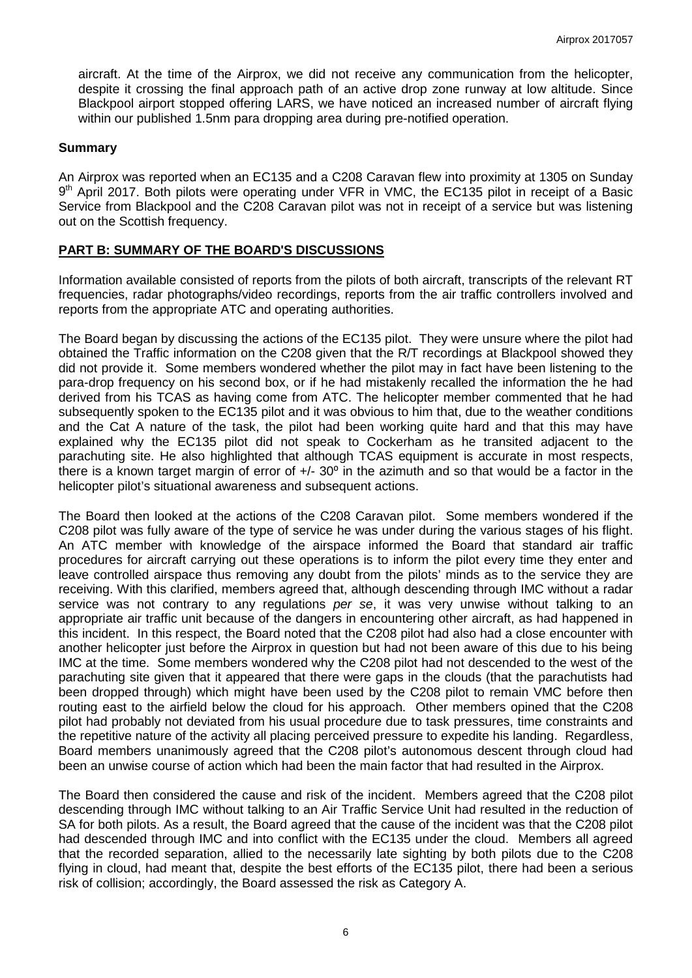aircraft. At the time of the Airprox, we did not receive any communication from the helicopter, despite it crossing the final approach path of an active drop zone runway at low altitude. Since Blackpool airport stopped offering LARS, we have noticed an increased number of aircraft flying within our published 1.5nm para dropping area during pre-notified operation.

#### **Summary**

An Airprox was reported when an EC135 and a C208 Caravan flew into proximity at 1305 on Sunday 9<sup>th</sup> April 2017. Both pilots were operating under VFR in VMC, the EC135 pilot in receipt of a Basic Service from Blackpool and the C208 Caravan pilot was not in receipt of a service but was listening out on the Scottish frequency.

#### **PART B: SUMMARY OF THE BOARD'S DISCUSSIONS**

Information available consisted of reports from the pilots of both aircraft, transcripts of the relevant RT frequencies, radar photographs/video recordings, reports from the air traffic controllers involved and reports from the appropriate ATC and operating authorities.

The Board began by discussing the actions of the EC135 pilot. They were unsure where the pilot had obtained the Traffic information on the C208 given that the R/T recordings at Blackpool showed they did not provide it. Some members wondered whether the pilot may in fact have been listening to the para-drop frequency on his second box, or if he had mistakenly recalled the information the he had derived from his TCAS as having come from ATC. The helicopter member commented that he had subsequently spoken to the EC135 pilot and it was obvious to him that, due to the weather conditions and the Cat A nature of the task, the pilot had been working quite hard and that this may have explained why the EC135 pilot did not speak to Cockerham as he transited adjacent to the parachuting site. He also highlighted that although TCAS equipment is accurate in most respects, there is a known target margin of error of  $+/- 30^{\circ}$  in the azimuth and so that would be a factor in the helicopter pilot's situational awareness and subsequent actions.

The Board then looked at the actions of the C208 Caravan pilot. Some members wondered if the C208 pilot was fully aware of the type of service he was under during the various stages of his flight. An ATC member with knowledge of the airspace informed the Board that standard air traffic procedures for aircraft carrying out these operations is to inform the pilot every time they enter and leave controlled airspace thus removing any doubt from the pilots' minds as to the service they are receiving. With this clarified, members agreed that, although descending through IMC without a radar service was not contrary to any regulations *per se*, it was very unwise without talking to an appropriate air traffic unit because of the dangers in encountering other aircraft, as had happened in this incident. In this respect, the Board noted that the C208 pilot had also had a close encounter with another helicopter just before the Airprox in question but had not been aware of this due to his being IMC at the time. Some members wondered why the C208 pilot had not descended to the west of the parachuting site given that it appeared that there were gaps in the clouds (that the parachutists had been dropped through) which might have been used by the C208 pilot to remain VMC before then routing east to the airfield below the cloud for his approach. Other members opined that the C208 pilot had probably not deviated from his usual procedure due to task pressures, time constraints and the repetitive nature of the activity all placing perceived pressure to expedite his landing. Regardless, Board members unanimously agreed that the C208 pilot's autonomous descent through cloud had been an unwise course of action which had been the main factor that had resulted in the Airprox.

The Board then considered the cause and risk of the incident. Members agreed that the C208 pilot descending through IMC without talking to an Air Traffic Service Unit had resulted in the reduction of SA for both pilots. As a result, the Board agreed that the cause of the incident was that the C208 pilot had descended through IMC and into conflict with the EC135 under the cloud. Members all agreed that the recorded separation, allied to the necessarily late sighting by both pilots due to the C208 flying in cloud, had meant that, despite the best efforts of the EC135 pilot, there had been a serious risk of collision; accordingly, the Board assessed the risk as Category A.